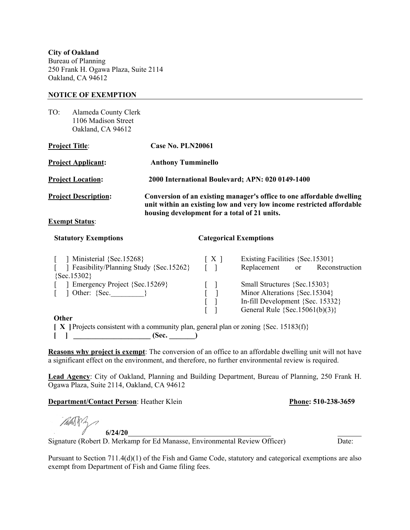**City of Oakland**  Bureau of Planning 250 Frank H. Ogawa Plaza, Suite 2114 Oakland, CA 94612

#### **NOTICE OF EXEMPTION**

| TO: | Alameda County Clerk |
|-----|----------------------|
|     | 1106 Madison Street  |
|     | Oakland, CA 94612    |

| <b>Project Title:</b>       | Case No. PLN20061                                                                                                                                                                              |
|-----------------------------|------------------------------------------------------------------------------------------------------------------------------------------------------------------------------------------------|
| <b>Project Applicant:</b>   | <b>Anthony Tumminello</b>                                                                                                                                                                      |
| <b>Project Location:</b>    | 2000 International Boulevard; APN: 020 0149-1400                                                                                                                                               |
| <b>Project Description:</b> | Conversion of an existing manager's office to one affordable dwelling<br>unit within an existing low and very low income restricted affordable<br>housing development for a total of 21 units. |
| $\mathbf{r}$<br>$\cdots$    |                                                                                                                                                                                                |

## **Exempt Status**:

#### **Statutory Exemptions Categorical Exemptions**

| Ministerial {Sec.15268}                                                                           | $\lceil$ X $\rceil$          | Existing Facilities {Sec.15301}    |               |                |  |  |
|---------------------------------------------------------------------------------------------------|------------------------------|------------------------------------|---------------|----------------|--|--|
| Feasibility/Planning Study {Sec.15262}                                                            |                              | Replacement                        | <sub>or</sub> | Reconstruction |  |  |
| ${Sec.15302}$                                                                                     |                              |                                    |               |                |  |  |
| Emergency Project {Sec.15269}                                                                     | Small Structures {Sec.15303} |                                    |               |                |  |  |
| $\int$ Other: {Sec. $\int$                                                                        |                              | Minor Alterations {Sec.15304}      |               |                |  |  |
|                                                                                                   |                              | In-fill Development {Sec. 15332}   |               |                |  |  |
|                                                                                                   |                              | General Rule $\{Sec.15061(b)(3)\}$ |               |                |  |  |
| <b>Other</b>                                                                                      |                              |                                    |               |                |  |  |
| <b>X</b>   Projects consistent with a community plan, general plan or zoning $\{Sec. 15183(f)\}\$ |                              |                                    |               |                |  |  |

 **[ ] \_\_\_\_\_\_\_\_\_\_\_\_\_\_\_\_\_\_\_\_\_ (Sec. \_\_\_\_\_\_\_)** 

**Reasons why project is exempt**: The conversion of an office to an affordable dwelling unit will not have a significant effect on the environment, and therefore, no further environmental review is required.

**Lead Agency**: City of Oakland, Planning and Building Department, Bureau of Planning, 250 Frank H. Ogawa Plaza, Suite 2114, Oakland, CA 94612

**Department/Contact Person**: Heather Klein **Phone: 510-238-3659** 

**6/24/20**

Signature (Robert D. Merkamp for Ed Manasse, Environmental Review Officer)

Pursuant to Section 711.4(d)(1) of the Fish and Game Code, statutory and categorical exemptions are also exempt from Department of Fish and Game filing fees.